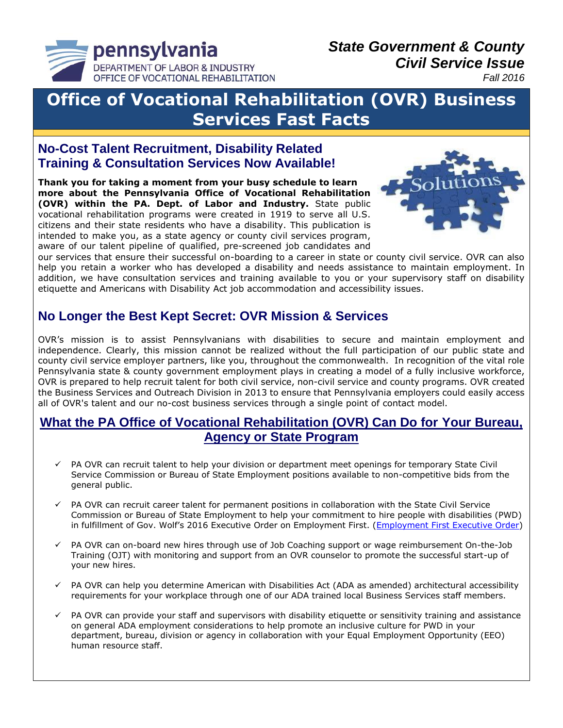

#### *Fall 2016*

# **Office of Vocational Rehabilitation (OVR) Business Services Fast Facts**

### **No-Cost Talent Recruitment, Disability Related Training & Consultation Services Now Available!**

**Thank you for taking a moment from your busy schedule to learn more about the Pennsylvania Office of Vocational Rehabilitation (OVR) within the PA. Dept. of Labor and Industry.** State public vocational rehabilitation programs were created in 1919 to serve all U.S. citizens and their state residents who have a disability. This publication is intended to make you, as a state agency or county civil services program, aware of our talent pipeline of qualified, pre-screened job candidates and



our services that ensure their successful on-boarding to a career in state or county civil service. OVR can also help you retain a worker who has developed a disability and needs assistance to maintain employment. In addition, we have consultation services and training available to you or your supervisory staff on disability etiquette and Americans with Disability Act job accommodation and accessibility issues.

## **No Longer the Best Kept Secret: OVR Mission & Services**

OVR's mission is to assist Pennsylvanians with disabilities to secure and maintain employment and independence. Clearly, this mission cannot be realized without the full participation of our public state and county civil service employer partners, like you, throughout the commonwealth. In recognition of the vital role Pennsylvania state & county government employment plays in creating a model of a fully inclusive workforce, OVR is prepared to help recruit talent for both civil service, non-civil service and county programs. OVR created the Business Services and Outreach Division in 2013 to ensure that Pennsylvania employers could easily access all of OVR's talent and our no-cost business services through a single point of contact model.

### **What the PA Office of Vocational Rehabilitation (OVR) Can Do for Your Bureau, Agency or State Program**

- PA OVR can recruit talent to help your division or department meet openings for temporary State Civil Service Commission or Bureau of State Employment positions available to non-competitive bids from the general public.
- PA OVR can recruit career talent for permanent positions in collaboration with the State Civil Service Commission or Bureau of State Employment to help your commitment to hire people with disabilities (PWD) in fulfillment of Gov. Wolf's 2016 Executive Order on Employment First. [\(Employment First Executive Order\)](https://www.governor.pa.gov/executive_orders/executive-order-2016-03-establishing-employment-first-policy-and-increasing-competitive-integrated-employment-for-pennsylvanians-with-a-disability/)
- $\checkmark$  PA OVR can on-board new hires through use of Job Coaching support or wage reimbursement On-the-Job Training (OJT) with monitoring and support from an OVR counselor to promote the successful start-up of your new hires.
- $\checkmark$  PA OVR can help you determine American with Disabilities Act (ADA as amended) architectural accessibility requirements for your workplace through one of our ADA trained local Business Services staff members.
- $\checkmark$  PA OVR can provide your staff and supervisors with disability etiquette or sensitivity training and assistance on general ADA employment considerations to help promote an inclusive culture for PWD in your department, bureau, division or agency in collaboration with your Equal Employment Opportunity (EEO) human resource staff.